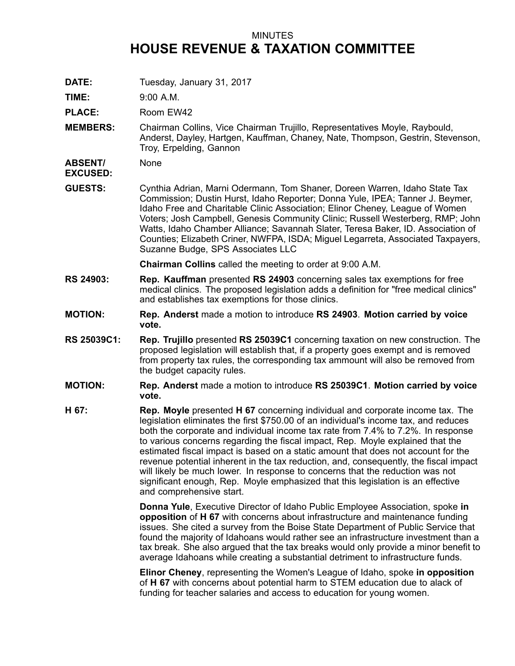## MINUTES **HOUSE REVENUE & TAXATION COMMITTEE**

**DATE:** Tuesday, January 31, 2017

**TIME:** 9:00 A.M.

PLACE: Room EW42

**MEMBERS:** Chairman Collins, Vice Chairman Trujillo, Representatives Moyle, Raybould, Anderst, Dayley, Hartgen, Kauffman, Chaney, Nate, Thompson, Gestrin, Stevenson, Troy, Erpelding, Gannon

**ABSENT/ EXCUSED:** None

**GUESTS:** Cynthia Adrian, Marni Odermann, Tom Shaner, Doreen Warren, Idaho State Tax Commission; Dustin Hurst, Idaho Reporter; Donna Yule, IPEA; Tanner J. Beymer, Idaho Free and Charitable Clinic Association; Elinor Cheney, League of Women Voters; Josh Campbell, Genesis Community Clinic; Russell Westerberg, RMP; John Watts, Idaho Chamber Alliance; Savannah Slater, Teresa Baker, ID. Association of Counties; Elizabeth Criner, NWFPA, ISDA; Miguel Legarreta, Associated Taxpayers, Suzanne Budge, SPS Associates LLC

**Chairman Collins** called the meeting to order at 9:00 A.M.

- **RS 24903: Rep. Kauffman** presented **RS 24903** concerning sales tax exemptions for free medical clinics. The proposed legislation adds <sup>a</sup> definition for "free medical clinics" and establishes tax exemptions for those clinics.
- **MOTION: Rep. Anderst** made <sup>a</sup> motion to introduce **RS 24903**. **Motion carried by voice vote.**
- **RS 25039C1: Rep. Trujillo** presented **RS 25039C1** concerning taxation on new construction. The proposed legislation will establish that, if <sup>a</sup> property goes exempt and is removed from property tax rules, the corresponding tax ammount will also be removed from the budget capacity rules.
- **MOTION: Rep. Anderst** made <sup>a</sup> motion to introduce **RS 25039C1**. **Motion carried by voice vote.**
- **H 67: Rep. Moyle** presented **H 67** concerning individual and corporate income tax. The legislation eliminates the first \$750.00 of an individual's income tax, and reduces both the corporate and individual income tax rate from 7.4% to 7.2%. In response to various concerns regarding the fiscal impact, Rep. Moyle explained that the estimated fiscal impact is based on <sup>a</sup> static amount that does not account for the revenue potential inherent in the tax reduction, and, consequently, the fiscal impact will likely be much lower. In response to concerns that the reduction was not significant enough, Rep. Moyle emphasized that this legislation is an effective and comprehensive start.

**Donna Yule**, Executive Director of Idaho Public Employee Association, spoke **in opposition** of **H 67** with concerns about infrastructure and maintenance funding issues. She cited <sup>a</sup> survey from the Boise State Department of Public Service that found the majority of Idahoans would rather see an infrastructure investment than <sup>a</sup> tax break. She also argued that the tax breaks would only provide <sup>a</sup> minor benefit to average Idahoans while creating <sup>a</sup> substantial detriment to infrastructure funds.

**Elinor Cheney**, representing the Women's League of Idaho, spoke **in opposition** of **H 67** with concerns about potential harm to STEM education due to alack of funding for teacher salaries and access to education for young women.